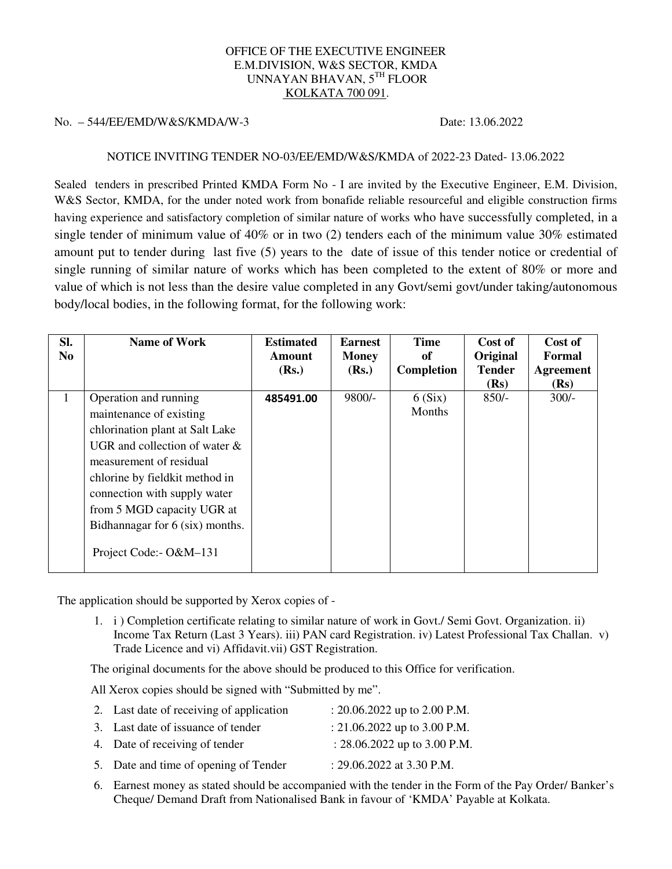## OFFICE OF THE EXECUTIVE ENGINEER E.M.DIVISION, W&S SECTOR, KMDA UNNAYAN BHAVAN, 5TH FLOOR KOLKATA 700 091.

## No. – 544/EE/EMD/W&S/KMDA/W-3 Date: 13.06.2022

## NOTICE INVITING TENDER NO-03/EE/EMD/W&S/KMDA of 2022-23 Dated- 13.06.2022

Sealed tenders in prescribed Printed KMDA Form No - I are invited by the Executive Engineer, E.M. Division, W&S Sector, KMDA, for the under noted work from bonafide reliable resourceful and eligible construction firms having experience and satisfactory completion of similar nature of works who have successfully completed, in a single tender of minimum value of 40% or in two (2) tenders each of the minimum value 30% estimated amount put to tender during last five (5) years to the date of issue of this tender notice or credential of single running of similar nature of works which has been completed to the extent of 80% or more and value of which is not less than the desire value completed in any Govt/semi govt/under taking/autonomous body/local bodies, in the following format, for the following work:

| SI.<br>No. | <b>Name of Work</b>                                                                                                                                                                                                                                                                                              | <b>Estimated</b><br><b>Amount</b><br>(Rs.) | <b>Earnest</b><br><b>Money</b><br>(Rs.) | <b>Time</b><br>of<br>Completion | Cost of<br>Original<br><b>Tender</b><br>(Rs) | Cost of<br>Formal<br><b>Agreement</b><br>(Rs) |
|------------|------------------------------------------------------------------------------------------------------------------------------------------------------------------------------------------------------------------------------------------------------------------------------------------------------------------|--------------------------------------------|-----------------------------------------|---------------------------------|----------------------------------------------|-----------------------------------------------|
| 1          | Operation and running<br>maintenance of existing<br>chlorination plant at Salt Lake<br>UGR and collection of water $\&$<br>measurement of residual<br>chlorine by fieldkit method in<br>connection with supply water<br>from 5 MGD capacity UGR at<br>Bidhannagar for 6 (six) months.<br>Project Code: - O&M-131 | 485491.00                                  | $9800/-$                                | 6(Six)<br>Months                | $850/-$                                      | $300/-$                                       |

The application should be supported by Xerox copies of -

1. i ) Completion certificate relating to similar nature of work in Govt./ Semi Govt. Organization. ii) Income Tax Return (Last 3 Years). iii) PAN card Registration. iv) Latest Professional Tax Challan. v) Trade Licence and vi) Affidavit.vii) GST Registration.

The original documents for the above should be produced to this Office for verification.

All Xerox copies should be signed with "Submitted by me".

| 2. Last date of receiving of application | : $20.06.2022$ up to $2.00$ P.M. |
|------------------------------------------|----------------------------------|
| 3. Last date of issuance of tender       | : 21.06.2022 up to 3.00 P.M.     |
| 4. Date of receiving of tender           | : $28.06.2022$ up to 3.00 P.M.   |
| 5. Date and time of opening of Tender    | : $29.06.2022$ at 3.30 P.M.      |

6. Earnest money as stated should be accompanied with the tender in the Form of the Pay Order/ Banker's Cheque/ Demand Draft from Nationalised Bank in favour of 'KMDA' Payable at Kolkata.